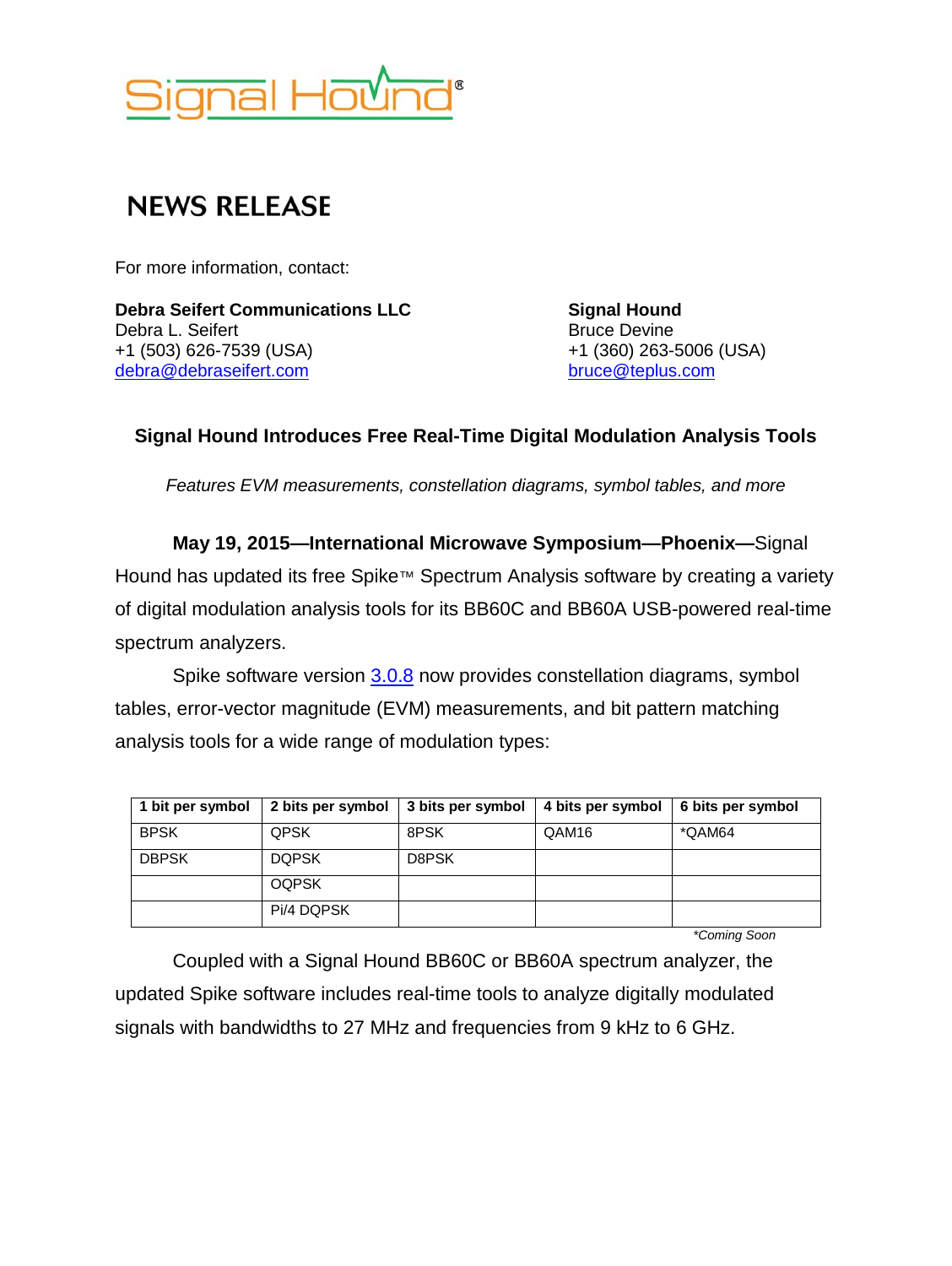

## **NEWS RELEASE**

For more information, contact:

**Debra Seifert Communications LLC<br>
Debra L. Seifert Communications LLC<br>
Bruce Devine** Debra L. Seifert +1 (503) 626-7539 (USA) +1 (360) 263-5006 (USA) [debra@debraseifert.com](mailto:debra@debraseifert.com)

## **Signal Hound Introduces Free Real-Time Digital Modulation Analysis Tools**

*Features EVM measurements, constellation diagrams, symbol tables, and more*

**May 19, 2015—International Microwave Symposium—Phoenix—**Signal Hound has updated its free Spike™ Spectrum Analysis software by creating a variety of digital modulation analysis tools for its BB60C and BB60A USB-powered real-time spectrum analyzers.

Spike software version [3.0.8](https://pm.on24.com/presentationMgr/colossus_window_popout.html?eventId=974816&eventSessionId=1&key=C7D175ADD54ADE3C1DCD5F77056F5C8A&presenter=1501791&mode=mode3&lang=English&capturemode=&capturewd=&captureht=&screensharevendor=SplitMedia&installCEF=false) now provides constellation diagrams, symbol tables, error-vector magnitude (EVM) measurements, and bit pattern matching analysis tools for a wide range of modulation types:

| 1 bit per symbol | 2 bits per symbol | 3 bits per symbol | 4 bits per symbol | 6 bits per symbol |
|------------------|-------------------|-------------------|-------------------|-------------------|
| <b>BPSK</b>      | <b>QPSK</b>       | 8PSK              | QAM16             | *QAM64            |
| <b>DBPSK</b>     | <b>DQPSK</b>      | D8PSK             |                   |                   |
|                  | <b>OQPSK</b>      |                   |                   |                   |
|                  | Pi/4 DQPSK        |                   |                   |                   |

*\*Coming Soon*

Coupled with a Signal Hound BB60C or BB60A spectrum analyzer, the updated Spike software includes real-time tools to analyze digitally modulated signals with bandwidths to 27 MHz and frequencies from 9 kHz to 6 GHz.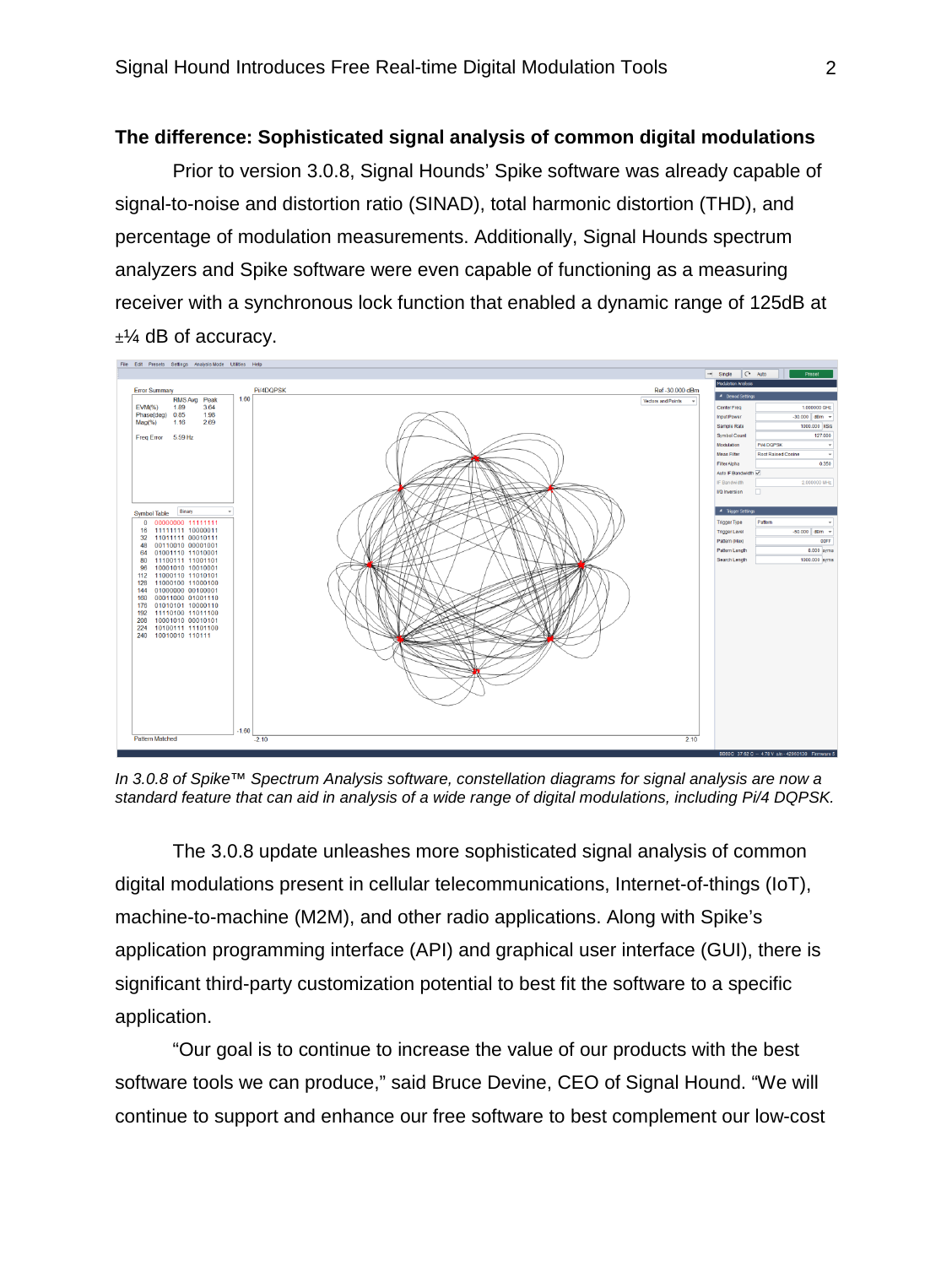## **The difference: Sophisticated signal analysis of common digital modulations**

Prior to version 3.0.8, Signal Hounds' Spike software was already capable of signal-to-noise and distortion ratio (SINAD), total harmonic distortion (THD), and percentage of modulation measurements. Additionally, Signal Hounds spectrum analyzers and Spike software were even capable of functioning as a measuring receiver with a synchronous lock function that enabled a dynamic range of 125dB at  $\pm\frac{1}{4}$  dB of accuracy.



*In 3.0.8 of Spike™ Spectrum Analysis software, constellation diagrams for signal analysis are now a standard feature that can aid in analysis of a wide range of digital modulations, including Pi/4 DQPSK.*

The 3.0.8 update unleashes more sophisticated signal analysis of common digital modulations present in cellular telecommunications, Internet-of-things (IoT), machine-to-machine (M2M), and other radio applications. Along with Spike's application programming interface (API) and graphical user interface (GUI), there is significant third-party customization potential to best fit the software to a specific application.

"Our goal is to continue to increase the value of our products with the best software tools we can produce," said Bruce Devine, CEO of Signal Hound. "We will continue to support and enhance our free software to best complement our low-cost